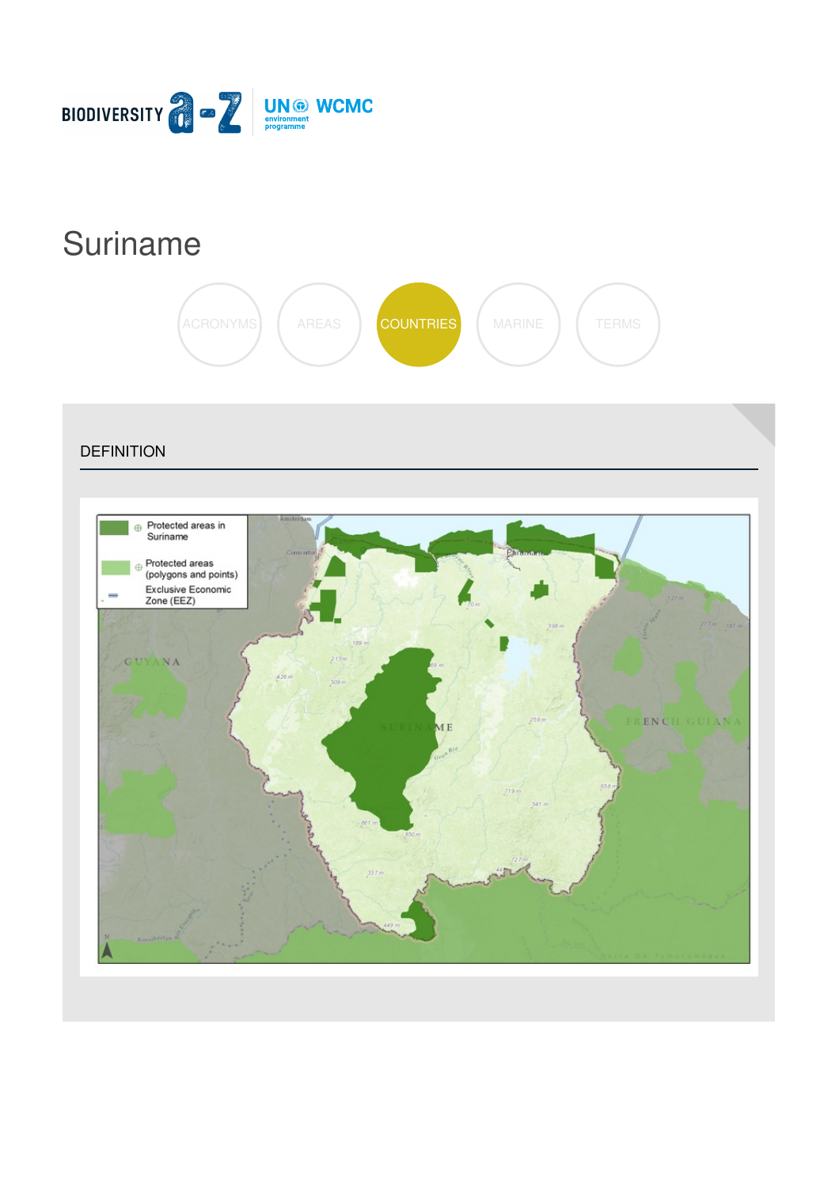

# [Suriname](https://biodiversitya-z.org/content/suriname)



**DEFINITION** 

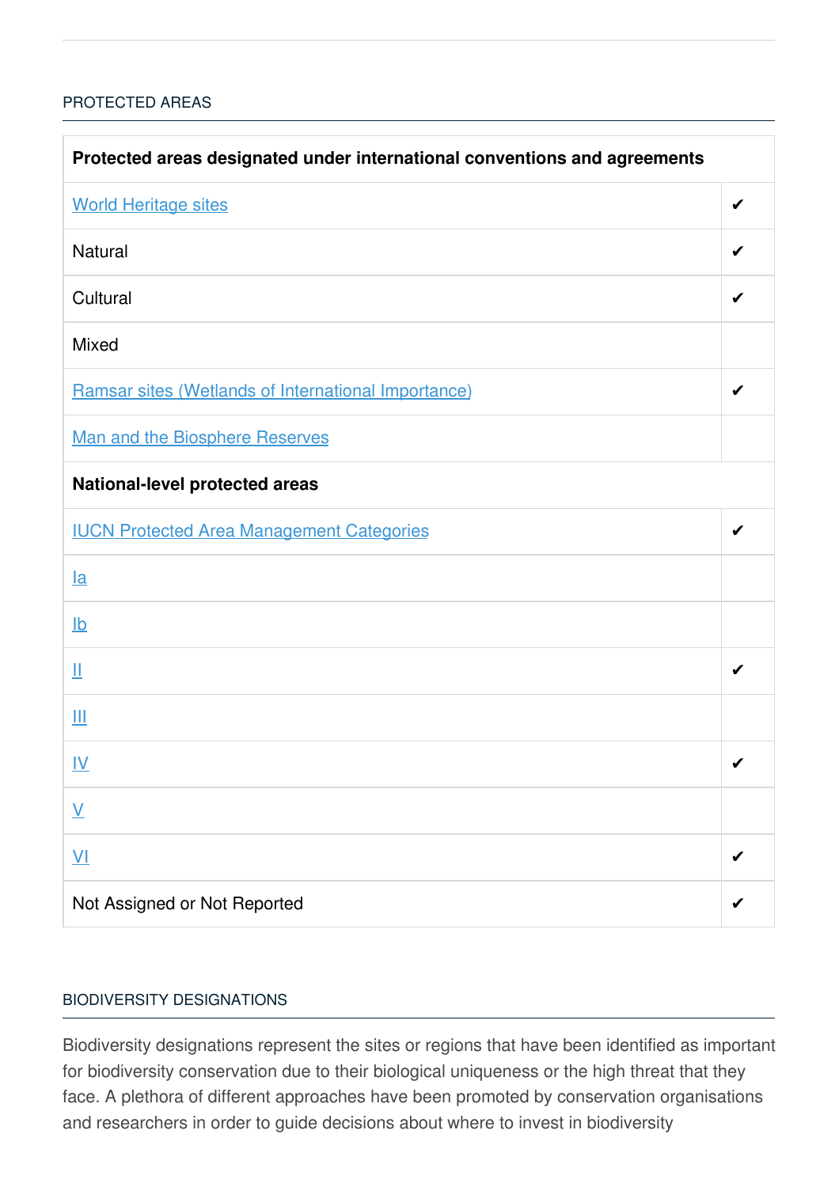# [PROTECTED](javascript:void(0)) AREAS

| Protected areas designated under international conventions and agreements |   |  |
|---------------------------------------------------------------------------|---|--|
| <b>World Heritage sites</b>                                               | ✔ |  |
| <b>Natural</b>                                                            | ✔ |  |
| Cultural                                                                  |   |  |
| <b>Mixed</b>                                                              |   |  |
| Ramsar sites (Wetlands of International Importance)                       | ✔ |  |
| Man and the Biosphere Reserves                                            |   |  |
| <b>National-level protected areas</b>                                     |   |  |
| <b>IUCN Protected Area Management Categories</b>                          | ✔ |  |
| $l$ a                                                                     |   |  |
| $\underline{\mathsf{lb}}$                                                 |   |  |
| Щ                                                                         | ✔ |  |
| Ш                                                                         |   |  |
| <u>IV</u>                                                                 | ✔ |  |
| $\underline{\mathsf{V}}$                                                  |   |  |
| $\underline{\mathsf{V}}$                                                  |   |  |
| Not Assigned or Not Reported                                              |   |  |

## BIODIVERSITY [DESIGNATIONS](javascript:void(0))

Biodiversity designations represent the sites or regions that have been identified as important for biodiversity conservation due to their biological uniqueness or the high threat that they face. A plethora of different approaches have been promoted by conservation organisations and researchers in order to guide decisions about where to invest in biodiversity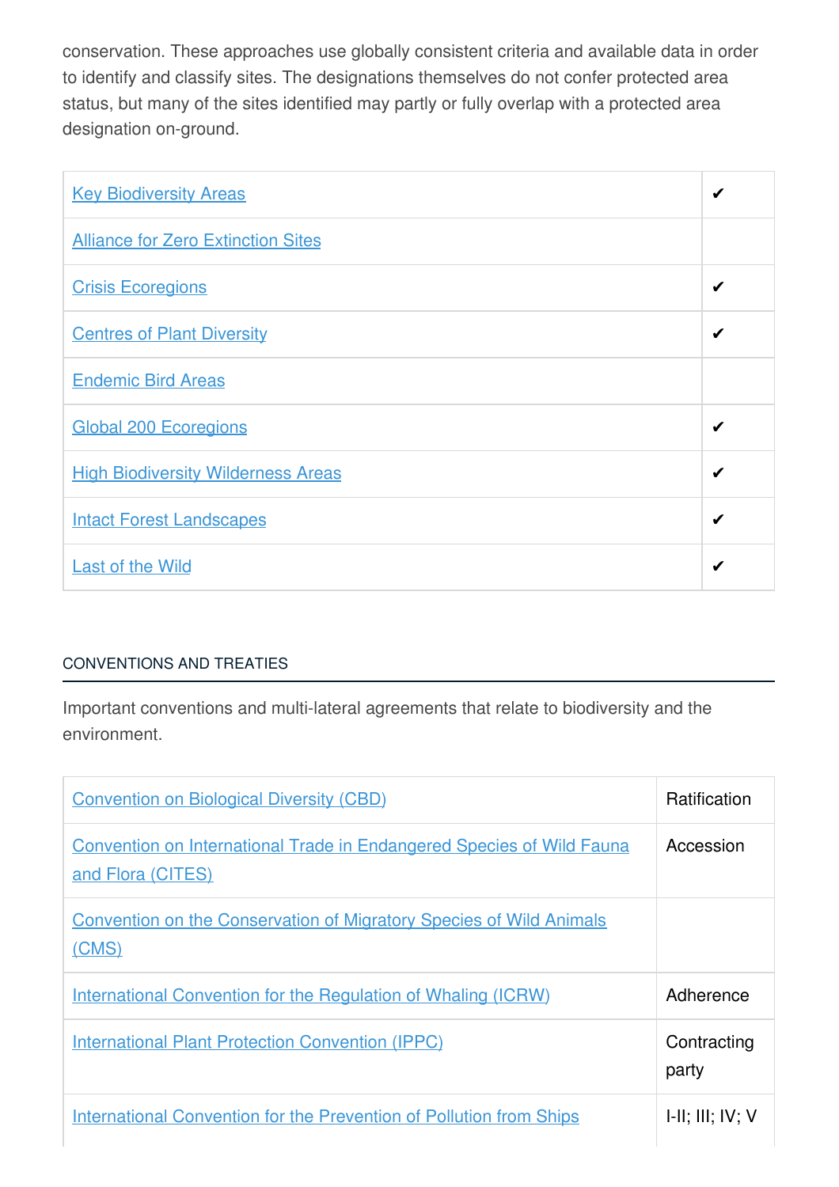conservation. These approaches use globally consistent criteria and available data in order to identify and classify sites. The designations themselves do not confer protected area status, but many of the sites identified may partly or fully overlap with a protected area designation on-ground.

| <b>Key Biodiversity Areas</b>             | ✔ |
|-------------------------------------------|---|
| <b>Alliance for Zero Extinction Sites</b> |   |
| <b>Crisis Ecoregions</b>                  | ✔ |
| <b>Centres of Plant Diversity</b>         | ✔ |
| <b>Endemic Bird Areas</b>                 |   |
| <b>Global 200 Ecoregions</b>              | ✔ |
| <b>High Biodiversity Wilderness Areas</b> | ✔ |
| <b>Intact Forest Landscapes</b>           | ✔ |
| <b>Last of the Wild</b>                   | ✔ |

# [CONVENTIONS](javascript:void(0)) AND TREATIES

Important conventions and multi-lateral agreements that relate to biodiversity and the environment.

| <b>Convention on Biological Diversity (CBD)</b>                                                   | <b>Ratification</b>         |
|---------------------------------------------------------------------------------------------------|-----------------------------|
| <b>Convention on International Trade in Endangered Species of Wild Fauna</b><br>and Flora (CITES) | Accession                   |
| <b>Convention on the Conservation of Migratory Species of Wild Animals</b><br>(CMS)               |                             |
| <b>International Convention for the Regulation of Whaling (ICRW)</b>                              | Adherence                   |
| <b>International Plant Protection Convention (IPPC)</b>                                           | Contracting<br>party        |
| <b>International Convention for the Prevention of Pollution from Ships</b>                        | $I-II$ ; $III$ ; $IV$ ; $V$ |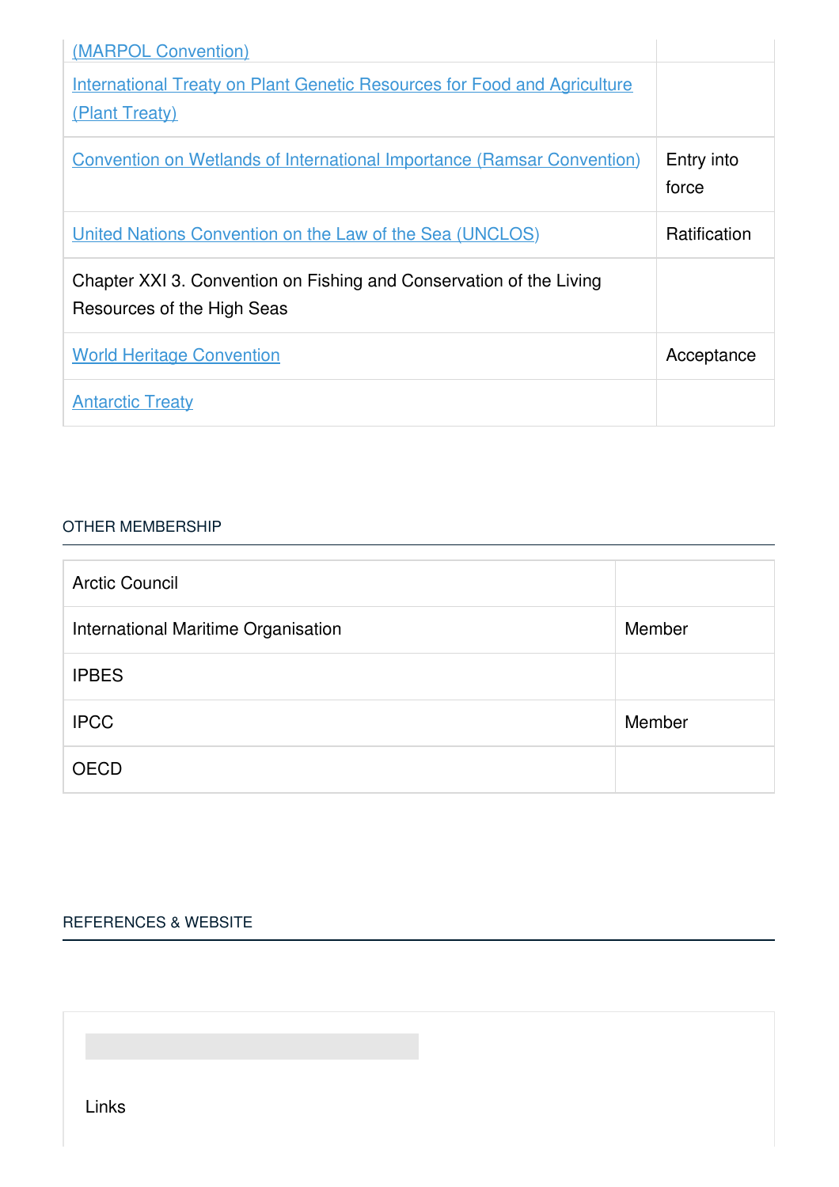| (MARPOL Convention)                                                                               |                     |
|---------------------------------------------------------------------------------------------------|---------------------|
| <b>International Treaty on Plant Genetic Resources for Food and Agriculture</b>                   |                     |
| (Plant Treaty)                                                                                    |                     |
| <b>Convention on Wetlands of International Importance (Ramsar Convention)</b>                     | Entry into<br>force |
| <u><b>United Nations Convention on the Law of the Sea (UNCLOS)</b></u>                            | Ratification        |
| Chapter XXI 3. Convention on Fishing and Conservation of the Living<br>Resources of the High Seas |                     |
| <b>World Heritage Convention</b>                                                                  | Acceptance          |
| <b>Antarctic Treaty</b>                                                                           |                     |

#### OTHER [MEMBERSHIP](javascript:void(0))

| <b>Arctic Council</b>               |        |
|-------------------------------------|--------|
| International Maritime Organisation | Member |
| <b>IPBES</b>                        |        |
| <b>IPCC</b>                         | Member |
| <b>OECD</b>                         |        |

## [REFERENCES](javascript:void(0)) & WEBSITE

Links